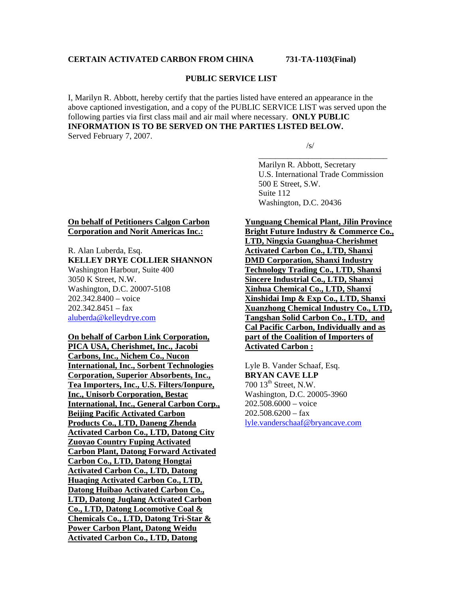# **CERTAIN ACTIVATED CARBON FROM CHINA 731-TA-1103(Final)**

#### **PUBLIC SERVICE LIST**

I, Marilyn R. Abbott, hereby certify that the parties listed have entered an appearance in the above captioned investigation, and a copy of the PUBLIC SERVICE LIST was served upon the following parties via first class mail and air mail where necessary. **ONLY PUBLIC INFORMATION IS TO BE SERVED ON THE PARTIES LISTED BELOW.**  Served February 7, 2007.

 $\overline{\phantom{a}}$  , and the contract of the contract of the contract of the contract of the contract of the contract of the contract of the contract of the contract of the contract of the contract of the contract of the contrac

 $\sqrt{s}$ /s/

 Marilyn R. Abbott, Secretary U.S. International Trade Commission 500 E Street, S.W. Suite 112 Washington, D.C. 20436

#### **On behalf of Petitioners Calgon Carbon Corporation and Norit Americas Inc.:**

#### R. Alan Luberda, Esq. **KELLEY DRYE COLLIER SHANNON**  Washington Harbour, Suite 400 3050 K Street, N.W. Washington, D.C. 20007-5108 202.342.8400 – voice  $202.342.8451 - fax$ aluberda@kelleydrye.com

## **On behalf of Carbon Link Corporation,**

**PICA USA, Cherishmet, Inc., Jacobi Carbons, Inc., Nichem Co., Nucon International, Inc., Sorbent Technologies Corporation, Superior Absorbents, Inc., Tea Importers, Inc., U.S. Filters/Ionpure, Inc., Unisorb Corporation, Bestac International, Inc., General Carbon Corp., Beijing Pacific Activated Carbon Products Co., LTD, Daneng Zhenda Activated Carbon Co., LTD, Datong City Zuoyao Country Fuping Activated Carbon Plant, Datong Forward Activated Carbon Co., LTD, Datong Hongtai Activated Carbon Co., LTD, Datong Huaqing Activated Carbon Co., LTD, Datong Huibao Activated Carbon Co., LTD, Datong Juqlang Activated Carbon Co., LTD, Datong Locomotive Coal & Chemicals Co., LTD, Datong Tri-Star & Power Carbon Plant, Datong Weidu Activated Carbon Co., LTD, Datong** 

# **Yunguang Chemical Plant, Jilin Province**

**Bright Future Industry & Commerce Co., LTD, Ningxia Guanghua-Cherishmet Activated Carbon Co., LTD, Shanxi DMD Corporation, Shanxi Industry Technology Trading Co., LTD, Shanxi Sincere Industrial Co., LTD, Shanxi Xinhua Chemical Co., LTD, Shanxi Xinshidai Imp & Exp Co., LTD, Shanxi Xuanzhong Chemical Industry Co., LTD, Tangshan Solid Carbon Co., LTD, and Cal Pacific Carbon, Individually and as part of the Coalition of Importers of Activated Carbon :**

Lyle B. Vander Schaaf, Esq. **BRYAN CAVE LLP** 700 13<sup>th</sup> Street, N.W. Washington, D.C. 20005-3960 202.508.6000 – voice  $202.508.6200 - f$ ax lyle.vanderschaaf@bryancave.com